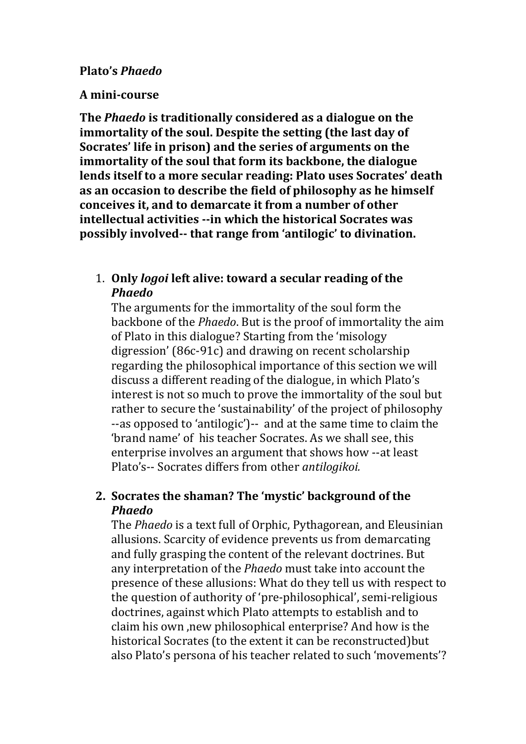## **Plato's** *Phaedo*

## **A mini-course**

**The** *Phaedo* **is traditionally considered as a dialogue on the immortality of the soul. Despite the setting (the last day of Socrates' life in prison) and the series of arguments on the immortality of the soul that form its backbone, the dialogue lends itself to a more secular reading: Plato uses Socrates' death as an occasion to describe the field of philosophy as he himself conceives it, and to demarcate it from a number of other intellectual activities --in which the historical Socrates was possibly involved-- that range from 'antilogic' to divination.** 

## 1. **Only** *logoi* **left alive: toward a secular reading of the**  *Phaedo*

The arguments for the immortality of the soul form the backbone of the *Phaedo*. But is the proof of immortality the aim of Plato in this dialogue? Starting from the 'misology digression' (86c-91c) and drawing on recent scholarship regarding the philosophical importance of this section we will discuss a different reading of the dialogue, in which Plato's interest is not so much to prove the immortality of the soul but rather to secure the 'sustainability' of the project of philosophy --as opposed to 'antilogic')-- and at the same time to claim the 'brand name' of his teacher Socrates. As we shall see, this enterprise involves an argument that shows how --at least Plato's-- Socrates differs from other *antilogikoi.* 

# **2. Socrates the shaman? The 'mystic' background of the**  *Phaedo*

The *Phaedo* is a text full of Orphic, Pythagorean, and Eleusinian allusions. Scarcity of evidence prevents us from demarcating and fully grasping the content of the relevant doctrines. But any interpretation of the *Phaedo* must take into account the presence of these allusions: What do they tell us with respect to the question of authority of 'pre-philosophical', semi-religious doctrines, against which Plato attempts to establish and to claim his own ,new philosophical enterprise? And how is the historical Socrates (to the extent it can be reconstructed) but also Plato's persona of his teacher related to such 'movements'?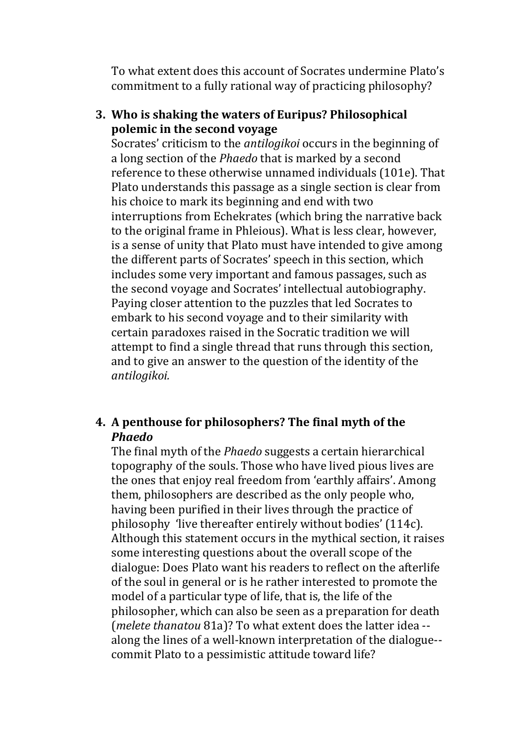To what extent does this account of Socrates undermine Plato's commitment to a fully rational way of practicing philosophy?

## **3. Who is shaking the waters of Euripus? Philosophical polemic in the second voyage**

Socrates' criticism to the *antilogikoi* occurs in the beginning of a long section of the *Phaedo* that is marked by a second reference to these otherwise unnamed individuals (101e). Τhat Plato understands this passage as a single section is clear from his choice to mark its beginning and end with two interruptions from Echekrates (which bring the narrative back to the original frame in Phleious). What is less clear, however, is a sense of unity that Plato must have intended to give among the different parts of Socrates' speech in this section, which includes some very important and famous passages, such as the second voyage and Socrates' intellectual autobiography. Paying closer attention to the puzzles that led Socrates to embark to his second voyage and to their similarity with certain paradoxes raised in the Socratic tradition we will attempt to find a single thread that runs through this section, and to give an answer to the question of the identity of the *antilogikoi.* 

## **4. A penthouse for philosophers? The final myth of the**  *Phaedo*

The final myth of the *Phaedo* suggests a certain hierarchical topography of the souls. Those who have lived pious lives are the ones that enjoy real freedom from 'earthly affairs'. Among them, philosophers are described as the only people who, having been purified in their lives through the practice of philosophy 'live thereafter entirely without bodies' (114c). Although this statement occurs in the mythical section, it raises some interesting questions about the overall scope of the dialogue: Does Plato want his readers to reflect on the afterlife of the soul in general or is he rather interested to promote the model of a particular type of life, that is, the life of the philosopher, which can also be seen as a preparation for death (*melete thanatou* 81a)? To what extent does the latter idea - along the lines of a well-known interpretation of the dialogue- commit Plato to a pessimistic attitude toward life?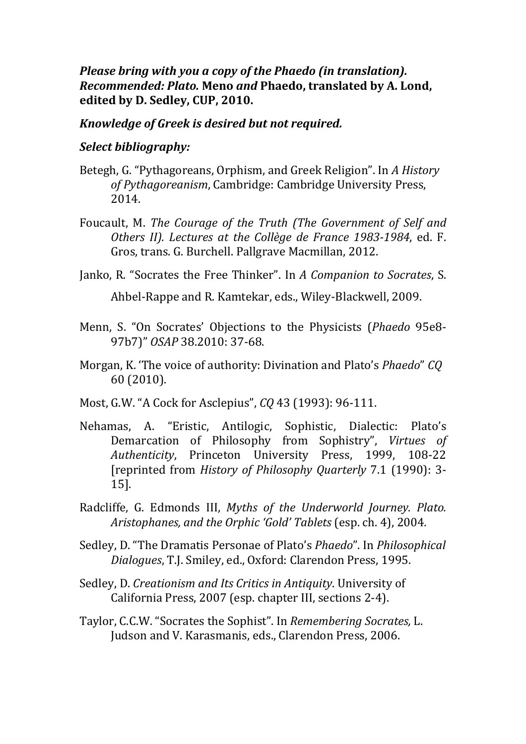*Please bring with you a copy of the Phaedo (in translation). Recommended: Plato.* **Meno** *and* **Phaedo, translated by A. Lond, edited by D. Sedley, CUP, 2010.** 

## *Knowledge of Greek is desired but not required.*

## *Select bibliography:*

- Betegh, G. "Pythagoreans, Orphism, and Greek Religion". In *A History of Pythagoreanism*, Cambridge: Cambridge University Press, 2014.
- Foucault, M. *The Courage of the Truth (The Government of Self and Others II). Lectures at the Collège de France 1983-1984*, ed. F. Gros, trans. G. Burchell. Pallgrave Macmillan, 2012.
- Janko, R. "Socrates the Free Thinker". In *A Companion to Socrates*, S.

Ahbel-Rappe and R. Kamtekar, eds., Wiley-Blackwell, 2009.

- Menn, S. "On Socrates' Objections to the Physicists (*Phaedo* 95e8- 97b7)" *OSAP* 38.2010: 37-68.
- Morgan, K. 'The voice of authority: Divination and Plato's *Phaedo*" *CQ*  60 (2010).
- Most, G.W. "A Cock for Asclepius", *CQ* 43 (1993): 96-111.
- Nehamas, A. "Eristic, Antilogic, Sophistic, Dialectic: Plato's Demarcation of Philosophy from Sophistry", *Virtues of Authenticity*, Princeton University Press, 1999, [reprinted from *History of Philosophy Quarterly* 7.1 (1990): 3- 15].
- Radcliffe, G. Edmonds III, *Myths of the Underworld Journey. Plato. Aristophanes, and the Orphic 'Gold' Tablets* (esp. ch. 4), 2004*.*
- Sedley, D. "The Dramatis Personae of Plato's *Phaedo*". In *Philosophical Dialogues*, T.J. Smiley, ed., Oxford: Clarendon Press, 1995.
- Sedley, D. *Creationism and Its Critics in Antiquity*. University of California Press, 2007 (esp. chapter III, sections 2-4).
- Taylor, C.C.W. "Socrates the Sophist". In *Remembering Socrates,* L. Judson and V. Karasmanis, eds., Clarendon Press, 2006.